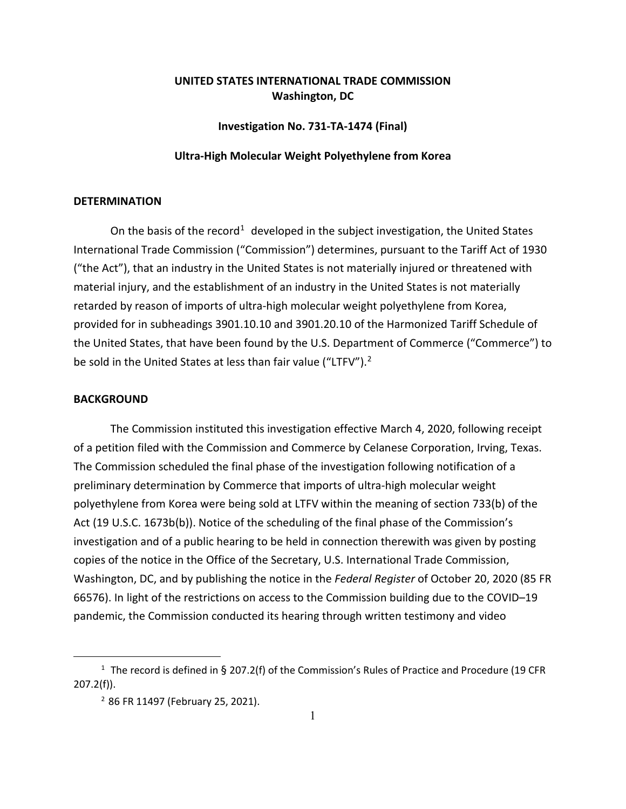## **UNITED STATES INTERNATIONAL TRADE COMMISSION Washington, DC**

**Investigation No. 731-TA-1474 (Final)**

## **Ultra-High Molecular Weight Polyethylene from Korea**

## **DETERMINATION**

On the basis of the record<sup>[1](#page-0-0)</sup> developed in the subject investigation, the United States International Trade Commission ("Commission") determines, pursuant to the Tariff Act of 1930 ("the Act"), that an industry in the United States is not materially injured or threatened with material injury, and the establishment of an industry in the United States is not materially retarded by reason of imports of ultra-high molecular weight polyethylene from Korea, provided for in subheadings 3901.10.10 and 3901.20.10 of the Harmonized Tariff Schedule of the United States, that have been found by the U.S. Department of Commerce ("Commerce") to be sold in the United States at less than fair value ("LTFV"). $2$ 

## **BACKGROUND**

The Commission instituted this investigation effective March 4, 2020, following receipt of a petition filed with the Commission and Commerce by Celanese Corporation, Irving, Texas. The Commission scheduled the final phase of the investigation following notification of a preliminary determination by Commerce that imports of ultra-high molecular weight polyethylene from Korea were being sold at LTFV within the meaning of section 733(b) of the Act (19 U.S.C. 1673b(b)). Notice of the scheduling of the final phase of the Commission's investigation and of a public hearing to be held in connection therewith was given by posting copies of the notice in the Office of the Secretary, U.S. International Trade Commission, Washington, DC, and by publishing the notice in the *Federal Register* of October 20, 2020 (85 FR 66576). In light of the restrictions on access to the Commission building due to the COVID–19 pandemic, the Commission conducted its hearing through written testimony and video

<span id="page-0-1"></span><span id="page-0-0"></span><sup>&</sup>lt;sup>1</sup> The record is defined in § 207.2(f) of the Commission's Rules of Practice and Procedure (19 CFR 207.2(f)).

<sup>2</sup> 86 FR 11497 (February 25, 2021).